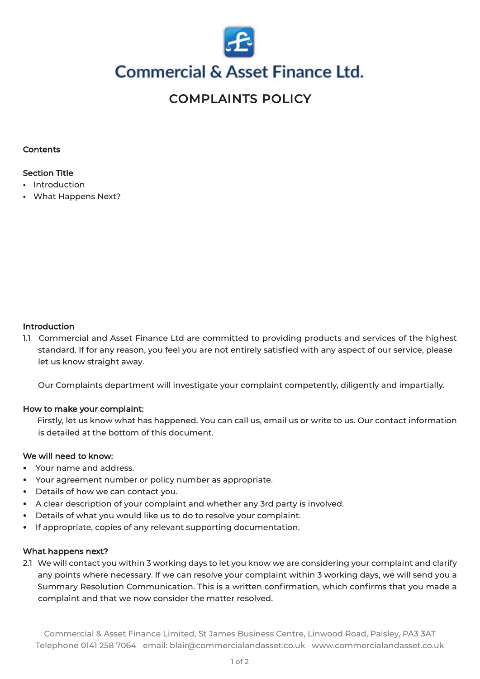

## **Commercial & Asset Finance Ltd.**

### COMPLAINTS POLICY

#### **Contents**

### Section Title

- ⦁ Introduction
- ⦁ What Happens Next?

#### **Introduction**

1.1 Commercial and Asset Finance Ltd are committed to providing products and services of the highest standard. If for any reason, you feel you are not entirely satisfied with any aspect of our service, please let us know straight away.

Our Complaints department will investigate your complaint competently, diligently and impartially.

#### How to make your complaint:

Firstly, let us know what has happened. You can call us, email us or write to us. Our contact information is detailed at the bottom of this document.

#### We will need to know:

- ⦁ Your name and address.
- ⦁ Your agreement number or policy number as appropriate.
- ⦁ Details of how we can contact you.
- ⦁ A clear description of your complaint and whether any 3rd party is involved.
- Details of what you would like us to do to resolve your complaint.
- If appropriate, copies of any relevant supporting documentation.

#### What happens next?

2.1 We will contact you within 3 working days to let you know we are considering your complaint and clarify any points where necessary. If we can resolve your complaint within 3 working days, we will send you a Summary Resolution Communication. This is a written confirmation, which confirms that you made a complaint and that we now consider the matter resolved.

Commercial & Asset Finance Limited, St James Business Centre, Linwood Road, Paisley, PA3 3AT Telephone 0141 258 7064 email: [blair@commercialandasset.co.uk](mailto:blair@commercialandasset.co.uk) <www.commercialandasset.co.uk>